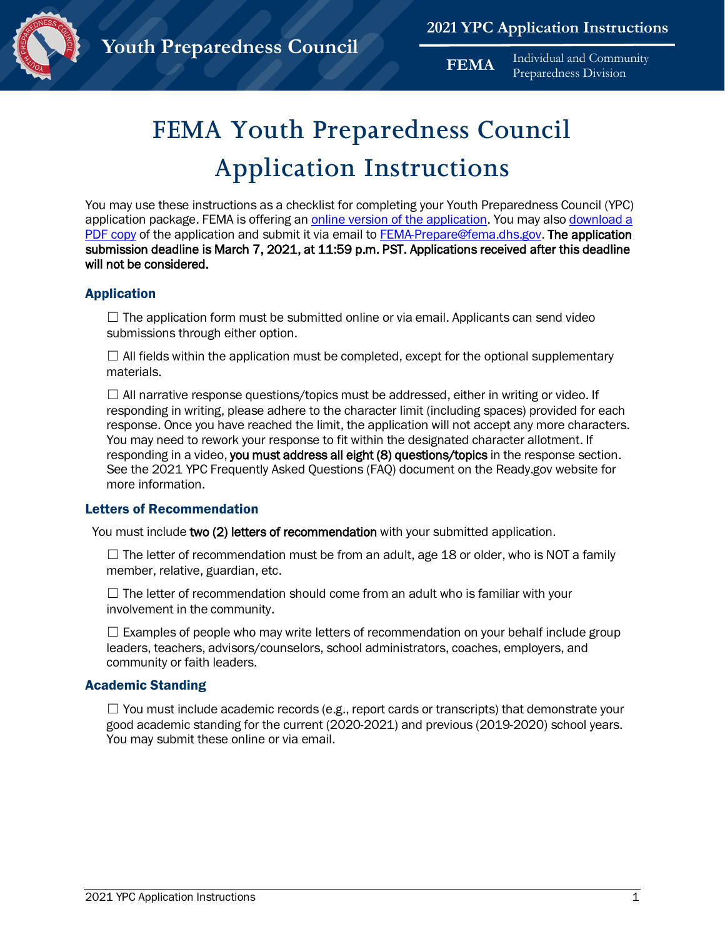

**FEMA** Individual and Community Preparedness Division

# **FEMA Youth Preparedness Council Application Instructions**

You may use these instructions as a checklist for completing your Youth Preparedness Council (YPC) application package. FEMA is offering an [online version of the application. Y](https://community.fema.gov/applytoYPC)ou may also download a [PDF copy](https://www.fema.gov/media-library/assets/documents/158425) of the application and submit it via email to FEMA-Prepare@fema.dhs.gov. The application submission deadline is March 7, 2021, at 11:59 p.m. PST. Applications received after this deadline will not be considered.

## Application

 $\Box$  The application form must be submitted online or via email. Applicants can send video submissions through either option.

 $\Box$  All fields within the application must be completed, except for the optional supplementary materials.

 $\Box$  All narrative response questions/topics must be addressed, either in writing or video. If responding in writing, please adhere to the character limit (including spaces) provided for each response. Once you have reached the limit, the application will not accept any more characters. You may need to rework your response to fit within the designated character allotment. If responding in a video, you must address all eight (8) questions/topics in the response section. See the 2021 YPC Frequently Asked Questions (FAQ) document on the Ready.gov website for more information.

#### Letters of Recommendation

You must include two (2) letters of recommendation with your submitted application.

 $\Box$  The letter of recommendation must be from an adult, age 18 or older, who is NOT a family member, relative, guardian, etc.

 $\Box$  The letter of recommendation should come from an adult who is familiar with your involvement in the community.

 $\Box$  Examples of people who may write letters of recommendation on your behalf include group leaders, teachers, advisors/counselors, school administrators, coaches, employers, and community or faith leaders.

#### Academic Standing

 $\Box$  You must include academic records (e.g., report cards or transcripts) that demonstrate your good academic standing for the current (2020-2021) and previous (2019-2020) school years. You may submit these online or via email.